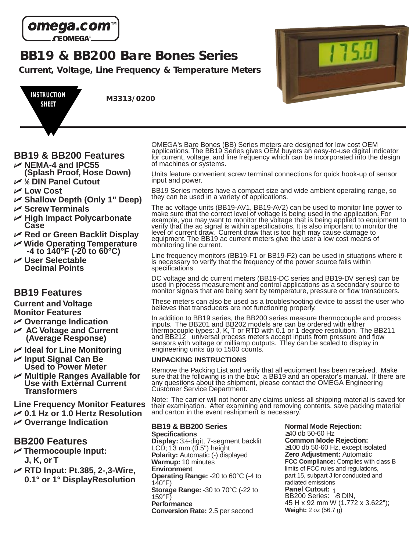

**BB19 & BB200 Bare Bones Series**

**Current, Voltage, Line Frequency & Temperature Meters**



# **BB19 & BB200 Features**

- U **NEMA-4 and IPC55 (Splash Proof, Hose Down)**
- U **<sup>1</sup> ⁄8 DIN Panel Cutout**
- U **Low Cost**
- U **Shallow Depth (Only 1" Deep)**
- U **Screw Terminals**
- U **High Impact Polycarbonate Case**
- U **Red or Green Backlit Display**
- U **Wide Operating Temperature -4 to 140°F (-20 to 60°C)**
- U **User Selectable Decimal Points**

# **BB19 Features**

**Current and Voltage Monitor Features**

- U **Overrange Indication**
- U **AC Voltage and Current (Average Response)**
- U **Ideal for Line Monitoring**
- U **Input Signal Can Be Used to Power Meter**
- U **Multiple Ranges Available for Use with External Current Transformers**

**Line Frequency Monitor Features**

- U **0.1 Hz or 1.0 Hertz Resolution**
- U **Overrange Indication**

# **BB200 Features**

- U **Thermocouple Input: J, K, or T**
- U **RTD Input: Pt.385, 2-,3-Wire, 0.1° or 1° DisplayResolution**

OMEGA's Bare Bones (BB) Series meters are designed for low cost OEM applications. The BB19 Series gives OEM buyers an easy-to-use digital indicator for current, voltage, and line frequency which can be incorporated into the design of machines or systems.

Units feature convenient screw terminal connections for quick hook-up of sensor input and power.

BB19 Series meters have a compact size and wide ambient operating range, so they can be used in a variety of applications.

The ac voltage units (BB19-AV1, BB19-AV2) can be used to monitor line power to make sure that the correct level of voltage is being used in the application. For example, you may want to monitor the voltage that is being applied to equipment to verify that the ac signal is within specifications. It is also important to monitor the level of current draw. Current draw that is too high may cause damage to equipment. The BB19 ac current meters give the user a low cost means of monitoring line current.

Line frequency monitors (BB19-F1 or BB19-F2) can be used in situations where it is necessary to verify that the frequency of the power source falls within specifications.

DC voltage and dc current meters (BB19-DC series and BB19-DV series) can be used in process measurement and control applications as a secondary source to monitor signals that are being sent by temperature, pressure or flow transducers.

These meters can also be used as a troubleshooting device to assist the user who believes that transducers are not functioning properly.

In addition to BB19 series, the BB200 series measure thermocouple and process inputs. The BB201 and BB202 models are can be ordered with either thermocouple types: J, K, T or RTD with 0.1 or 1 degree resolution. The BB211 and BB212 universal process meters accept inputs from pressure and flow sensors with voltage or milliamp outputs. They can be scaled to display in engineering units up to 1500 counts.

### **UNPACKING INSTRUCTIONS**

Remove the Packing List and verify that all equipment has been received. Make sure that the following is in the box: a BB19 and an operator's manual. If there are any questions about the shipment, please contact the OMEGA Engineering Customer Service Department.

Note: The carrier will not honor any claims unless all shipping material is saved for their examination. After examining and removing contents, save packing material and carton in the event reshipment is necessary.

### **BB19 & BB200 Series**

**Specifications** Display: 3<sup>1</sup>/<sub>2</sub>-digit, 7-segment backlit LCD;  $13 \text{ mm}$   $(0.5")$  height **Polarity:** Automatic (-) displayed **Warmup:** 10 minutes **Environment Operating Range:** -20 to 60°C (-4 to 140°F) **Storage Range:** -30 to 70°C (-22 to 159°F) **Performance Conversion Rate:** 2.5 per second

**Normal Mode Rejection:** ≥40 db 50-60 Hz **Common Mode Rejection:** ≥100 db 50-60 Hz, except isolated **Zero Adjustment:** Automatic **FCC Compliance:** Complies with class B limits of FCC rules and regulations, part 15, subpart J for conducted and radiated emissions **Panel Cutout:** 1<br>BB200 Series: 18 DIN, 45 H x 92 mm W (1.772 x 3.622"); **Weight:** 2 oz (56.7 g)

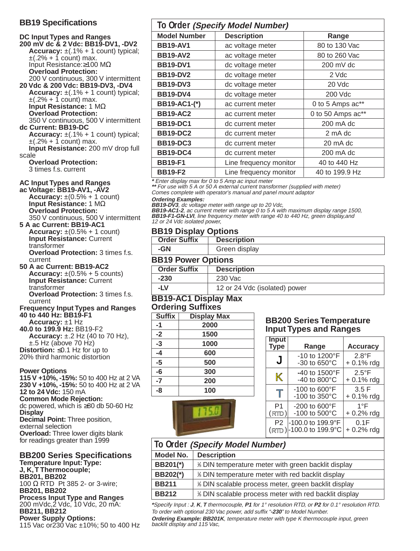### **BB19 Specifications**

**DC Input Types and Ranges 200 mV dc & 2 Vdc: BB19-DV1, -DV2 Accuracy:**  $\pm$ (.1% + 1 count) typical;  $\pm$ (.2% + 1 count) max. Input Resistance:≥100 MΩ **Overload Protection:** 200 V continuous, 300 V intermittent **20 Vdc & 200 Vdc: BB19-DV3, -DV4 Accuracy:** ±(.1% + 1 count) typical;  $\pm$ (.2% + 1 count) max. **Input Resistance:** 1 MΩ **Overload Protection:** 350 V continuous, 500 V intermittent **dc Current: BB19-DC Accuracy:**  $\pm$ (.1% + 1 count) typical;  $\pm$ (.2% + 1 count) max. **Input Resistance:** 200 mV drop full scale **Overload Protection:** 3 times f.s. current

### **AC Input Types and Ranges**

**ac Voltage: BB19-AV1, -AV2 Accuracy:**  $\pm(0.5\% + 1 \text{ count})$ **Input Resistance:** 1 MΩ **Overload Protection:** 350 V continuous, 500 V intermittent

**5 A ac Current: BB19-AC1 Accuracy:**  $\pm(0.5\% + 1 \text{ count})$ 

**Input Resistance:** Current transformer **Overload Protection:** 3 times f.s. current

**50 A ac Current: BB19-AC2 Accuracy:**  $\pm (0.5\% + 5 \text{ counts})$ **Input Resistance:** Current transformer **Overload Protection:** 3 times f.s. current

**Frequency Input Types and Ranges 40 to 440 Hz: BB19-F1**

**Accuracy:** ±1 Hz **40.0 to 199.9 Hz:** BB19-F2 **Accuracy:** ±.2 Hz (40 to 70 Hz), ±.5 Hz (above 70 Hz) **Distortion:** ≤0.1 Hz for up to 20% third harmonic distortion

#### **Power Options**

**115 V +10%, -15%:** 50 to 400 Hz at 2 VA **230 V +10%, -15%:** 50 to 400 Hz at 2 VA **12 to 24 Vdc:** 150 mA

**Common Mode Rejection:** dc powered, which is ≥80 db 50-60 Hz

**Display**

**Decimal Point:** Three position, external selection **Overload:** Three lower digits blank for readings greater than 1999

#### **BB200 Series Specifications Temperature Input:Type:**

**J, K,T Thermocouple; BB201, BB202** 100 Ω RTD Pt 385 2- or 3-wire; **BB201, BB202 Process Input Type and Ranges** 200 mVdc,2 Vdc, 10 Vdc, 20 mA: **BB211, BB212 Power Supply Options:** 115 Vac or230 Vac ±10%; 50 to 400 Hz

| To Order (Specify Model Number) |                        |                   |  |
|---------------------------------|------------------------|-------------------|--|
| <b>Model Number</b>             | <b>Description</b>     | Range             |  |
| <b>BB19-AV1</b>                 | ac voltage meter       | 80 to 130 Vac     |  |
| <b>BB19-AV2</b>                 | ac voltage meter       | 80 to 260 Vac     |  |
| <b>BB19-DV1</b>                 | dc voltage meter       | 200 mV dc         |  |
| <b>BB19-DV2</b>                 | dc voltage meter       | 2 Vdc             |  |
| <b>BB19-DV3</b>                 | dc voltage meter       | 20 Vdc            |  |
| <b>BB19-DV4</b>                 | dc voltage meter       | 200 Vdc           |  |
| BB19-AC1-(*)                    | ac current meter       | 0 to 5 Amps ac**  |  |
| <b>BB19-AC2</b>                 | ac current meter       | 0 to 50 Amps ac** |  |
| <b>BB19-DC1</b>                 | dc current meter       | 200 mA dc         |  |
| <b>BB19-DC2</b>                 | dc current meter       | 2 mA dc           |  |
| <b>BB19-DC3</b>                 | dc current meter       | 20 mA dc          |  |
| <b>BB19-DC4</b>                 | dc current meter       | 200 mA dc         |  |
| <b>BB19-F1</b>                  | Line frequency monitor | 40 to 440 Hz      |  |
| <b>BB19-F2</b>                  | Line frequency monitor | 40 to 199.9 Hz    |  |

**\*** Enter display max for 0 to 5 Amp ac input meter

**\*\*** For use with 5 A or 50 A external current transformer (supplied with meter) Comes complete with operator's manual and panel mount adaptor

#### **Ordering Examples:**

**BB19-DV3**, dc voltage meter with range up to 20 Vdc,

**BB19-AC1-2**, ac current meter with range 0 to 5 A with maximum display range 1500, **BB19-F1-GN-LVI**, line frequency meter with range 40 to 440 Hz, green display,and 12 or 24 Vdc isolated power,

### **BB19 Display Options**

| <b>Order Suffix</b> | <b>Description</b> |
|---------------------|--------------------|
| -GN                 | Green display      |

### **BB19 Power Options**

| <b>Order Suffix</b> | <b>Description</b>            |
|---------------------|-------------------------------|
| $-230$              | 230 Vac                       |
| -I V                | 12 or 24 Vdc (isolated) power |

### **BB19-AC1 Display Max Ordering Suffixes**

| <b>Suffix</b> | <b>Display Max</b> |
|---------------|--------------------|
| -1            | 2000               |
| $-2$          | 1500               |
| $-3$          | 1000               |
| -4            | 600                |
| $-5$          | 500                |
| -6            | 300                |
| $-7$          | 200                |
| -8            | 100                |



### **BB200 Series Temperature Input Types and Ranges**

| Input<br><b>Type</b>    | Range                                                   | <b>Accuracy</b>                |
|-------------------------|---------------------------------------------------------|--------------------------------|
| J                       | -10 to 1200°F<br>-30 to 650°C                           | $2.8^{\circ}$ F<br>$+0.1%$ rdg |
| K                       | -40 to 1500°F<br>-40 to 800°C                           | $2.5^{\circ}$ F<br>$+0.1%$ rdg |
|                         | $-100$ to $600^{\circ}$ F<br>$-100$ to 350 $^{\circ}$ C | 3.5F<br>$+0.1%$ rdg            |
| P <sub>1</sub><br>(RTD) | $-200$ to $600^{\circ}$ F<br>-100 to 500°C              | $1^{\circ}$ F<br>$+0.2%$ rdg   |
| P <sub>2</sub>          | -100.0 to 199.9°F<br>(RTD)-100.0 to 199.9°C             | 0.1F<br>$+0.2%$ rdg            |

| To Order (Specify Model Number) |                                                       |  |
|---------------------------------|-------------------------------------------------------|--|
| Model No.                       | <b>Description</b>                                    |  |
| BB201(*)                        | % DIN temperature meter with green backlit display    |  |
| BB202(*)                        | % DIN temperature meter with red backlit display      |  |
| <b>BB211</b>                    | % DIN scalable process meter, green backlit display   |  |
| <b>BB212</b>                    | % DIN scalable process meter with red backlit display |  |

**\***Specify Input : **J**, **K**, **T** thermocouple, **P1** for 1° resolution RTD, or **P2** for 0.1° resolution RTD. To order with optional 230 Vac power, add suffix "**-230**" to Model Number.

**Ordering Example: BB201K**, temperature meter with type K thermocouple input, green backlit display and 115 Vac,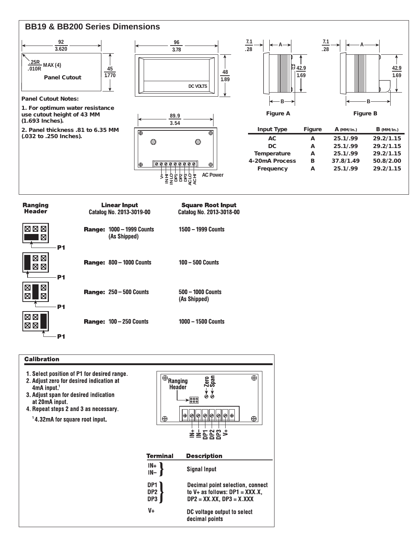

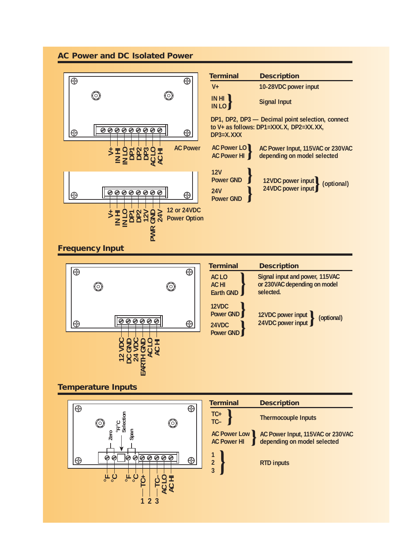### **AC Power and DC Isolated Power**





### **Temperature Inputs**